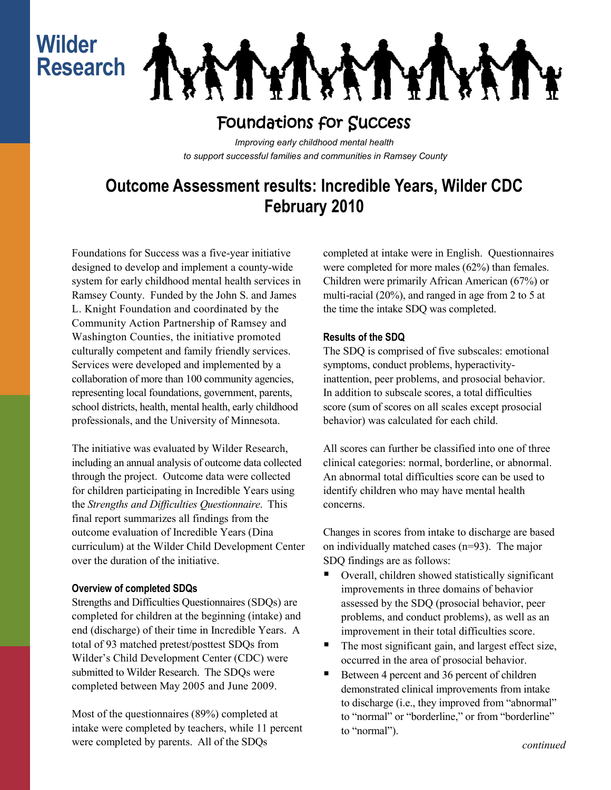# **Wilder Research**

**ALAIA** H XIX

## Foundations for Success

*Improving early childhood mental health to support successful families and communities in Ramsey County*

## **Outcome Assessment results: Incredible Years, Wilder CDC February 2010**

Foundations for Success was a five-year initiative designed to develop and implement a county-wide system for early childhood mental health services in Ramsey County. Funded by the John S. and James L. Knight Foundation and coordinated by the Community Action Partnership of Ramsey and Washington Counties, the initiative promoted culturally competent and family friendly services. Services were developed and implemented by a collaboration of more than 100 community agencies, representing local foundations, government, parents, school districts, health, mental health, early childhood professionals, and the University of Minnesota.

The initiative was evaluated by Wilder Research, including an annual analysis of outcome data collected through the project. Outcome data were collected for children participating in Incredible Years using the *Strengths and Difficulties Questionnaire*. This final report summarizes all findings from the outcome evaluation of Incredible Years (Dina curriculum) at the Wilder Child Development Center over the duration of the initiative.

#### **Overview of completed SDQs**

Strengths and Difficulties Questionnaires (SDQs) are completed for children at the beginning (intake) and end (discharge) of their time in Incredible Years. A total of 93 matched pretest/posttest SDQs from Wilder's Child Development Center (CDC) were submitted to Wilder Research. The SDQs were completed between May 2005 and June 2009.

Most of the questionnaires (89%) completed at intake were completed by teachers, while 11 percent were completed by parents. All of the SDQs

completed at intake were in English. Questionnaires were completed for more males (62%) than females. Children were primarily African American (67%) or multi-racial (20%), and ranged in age from 2 to 5 at the time the intake SDQ was completed.

### **Results of the SDQ**

The SDQ is comprised of five subscales: emotional symptoms, conduct problems, hyperactivityinattention, peer problems, and prosocial behavior. In addition to subscale scores, a total difficulties score (sum of scores on all scales except prosocial behavior) was calculated for each child.

All scores can further be classified into one of three clinical categories: normal, borderline, or abnormal. An abnormal total difficulties score can be used to identify children who may have mental health concerns.

Changes in scores from intake to discharge are based on individually matched cases (n=93). The major SDQ findings are as follows:

- Overall, children showed statistically significant improvements in three domains of behavior assessed by the SDQ (prosocial behavior, peer problems, and conduct problems), as well as an improvement in their total difficulties score.
- The most significant gain, and largest effect size, occurred in the area of prosocial behavior.
- Between 4 percent and 36 percent of children demonstrated clinical improvements from intake to discharge (i.e., they improved from "abnormal" to "normal" or "borderline," or from "borderline" to "normal").